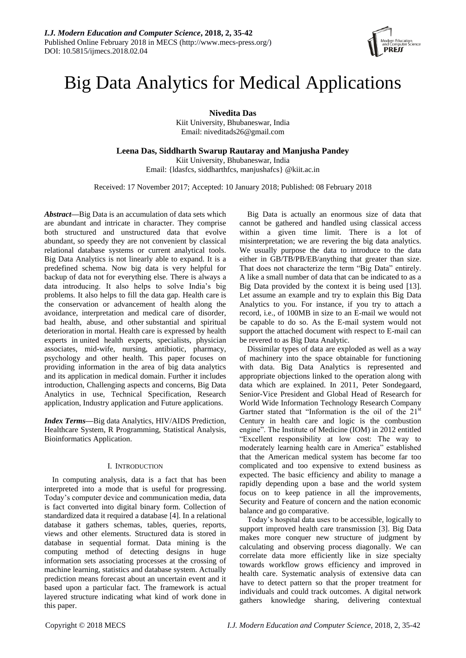

# Big Data Analytics for Medical Applications

**Nivedita Das**

Kiit University, Bhubaneswar, India Email: niveditads26@gmail.com

**Leena Das, Siddharth Swarup Rautaray and Manjusha Pandey** Kiit University, Bhubaneswar, India Email: {ldasfcs, siddharthfcs, manjushafcs} @kiit.ac.in

Received: 17 November 2017; Accepted: 10 January 2018; Published: 08 February 2018

*Abstract***—**Big Data is an accumulation of data sets which are abundant and intricate in character. They comprise both structured and unstructured data that evolve abundant, so speedy they are not convenient by classical relational database systems or current analytical tools. Big Data Analytics is not linearly able to expand. It is a predefined schema. Now big data is very helpful for backup of data not for everything else. There is always a data introducing. It also helps to solve India's big problems. It also helps to fill the data gap. Health care is the conservation or advancement of health along the avoidance, interpretation and medical care of disorder, bad health, abuse, and other [substantial and spiritual](https://en.wikipedia.org/wiki/Disability)  [deterioration](https://en.wikipedia.org/wiki/Disability) in mortal. Health care is expressed by [health](https://en.wikipedia.org/wiki/Health_professional)  [experts](https://en.wikipedia.org/wiki/Health_professional) in [united health experts,](https://en.wikipedia.org/wiki/Allied_health_professions) specialists, physician associates, mid-wife, nursing, antibiotic, pharmacy, psychology and other health. This paper focuses on providing information in the area of big data analytics and its application in medical domain. Further it includes introduction, Challenging aspects and concerns, Big Data Analytics in use, Technical Specification, Research application, Industry application and Future applications.

*Index Terms***—**Big data Analytics, HIV/AIDS Prediction, Healthcare System, R Programming, Statistical Analysis, Bioinformatics Application.

## I. INTRODUCTION

In computing analysis, data is a fact that has been interpreted into a mode that is useful for progressing. Today's computer device and communication media, data is fact converted into digital binary form. Collection of standardized data it required a database [4]. In a relational database it gathers schemas, tables, queries, reports, views and other elements. Structured data is stored in database in sequential format. Data mining is the computing method of detecting designs in huge information sets associating processes at the crossing of machine learning, statistics and database system. Actually prediction means forecast about an uncertain event and it based upon a particular fact. The framework is actual layered structure indicating what kind of work done in this paper.

Big Data is actually an enormous size of data that cannot be gathered and handled using classical access within a given time limit. There is a lot of misinterpretation; we are revering the big data analytics. We usually purpose the data to introduce to the data either in GB/TB/PB/EB/anything that greater than size. That does not characterize the term "Big Data" entirely. A like a small number of data that can be indicated to as a Big Data provided by the context it is being used [13]. Let assume an example and try to explain this Big Data Analytics to you. For instance, if you try to attach a record, i.e., of 100MB in size to an E-mail we would not be capable to do so. As the E-mail system would not support the attached document with respect to E-mail can be revered to as Big Data Analytic.

Dissimilar types of data are exploded as well as a way of machinery into the space obtainable for functioning with data. Big Data Analytics is represented and appropriate objections linked to the operation along with data which are explained. In 2011, Peter Sondegaard, Senior-Vice President and Global Head of Research for World Wide Information Technology Research Company Gartner stated that "Information is the oil of the  $21<sup>s</sup>$ Century in health care and logic is the combustion engine". The Institute of Medicine (IOM) in 2012 entitled "Excellent responsibility at low cost: The way to moderately learning health care in America" established that the American medical system has become far too complicated and too expensive to extend business as expected. The basic efficiency and ability to manage a rapidly depending upon a base and the world system focus on to keep patience in all the improvements, Security and Feature of concern and the nation economic balance and go comparative.

Today's hospital data uses to be accessible, logically to support improved health care transmission [3]. Big Data makes more conquer new structure of judgment by calculating and observing process diagonally. We can correlate data more efficiently like in size specialty towards workflow grows efficiency and improved in health care. Systematic analysis of extensive data can have to detect pattern so that the proper treatment for individuals and could track outcomes. A digital network gathers knowledge sharing, delivering contextual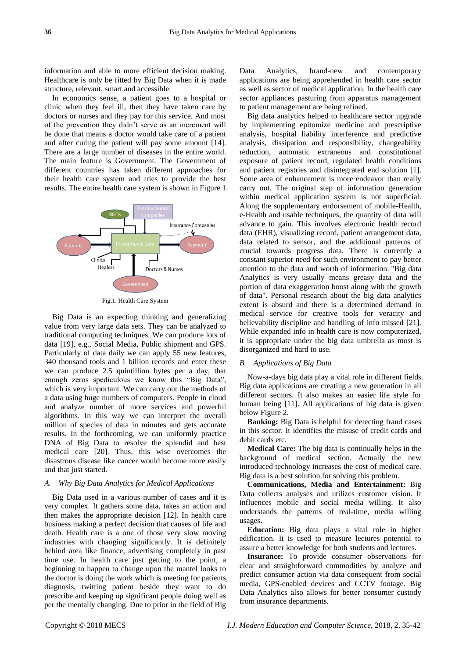information and able to more efficient decision making. Healthcare is only be fitted by Big Data when it is made structure, relevant, smart and accessible.

In economics sense, a patient goes to a hospital or clinic when they feel ill, then they have taken care by doctors or nurses and they pay for this service. And most of the prevention they didn't serve as an increment will be done that means a doctor would take care of a patient and after curing the patient will pay some amount [14]. There are a large number of diseases in the entire world. The main feature is Government. The Government of different countries has taken different approaches for their health care system and tries to provide the best results. The entire health care system is shown in Figure 1.



Fig.1. Health Care System

Big Data is an expecting thinking and generalizing value from very large data sets. They can be analyzed to traditional computing techniques. We can produce lots of data [19], e.g., Social Media, Public shipment and GPS. Particularly of data daily we can apply 55 new features, 340 thousand tools and 1 billion records and enter these we can produce 2.5 quintillion bytes per a day, that enough zeros spediculous we know this "Big Data", which is very important. We can carry out the methods of a data using huge numbers of computers. People in cloud and analyze number of more services and powerful algorithms. In this way we can interpret the overall million of species of data in minutes and gets accurate results. In the forthcoming, we can uniformly practice DNA of Big Data to resolve the splendid and best medical care [20]. Thus, this wise overcomes the disastrous disease like cancer would become more easily and that just started.

## *A. Why Big Data Analytics for Medical Applications*

Big Data used in a various number of cases and it is very complex. It gathers some data, takes an action and then makes the appropriate decision [12]. In health care business making a perfect decision that causes of life and death. Health care is a one of those very slow moving industries with changing significantly. It is definitely behind area like finance, advertising completely in past time use. In health care just getting to the point, a beginning to happen to change upon the mantel looks to the doctor is doing the work which is meeting for patients, diagnosis, twitting patient beside they want to do prescribe and keeping up significant people doing well as per the mentally changing. Due to prior in the field of Big

Data Analytics, brand-new and contemporary applications are being apprehended in health care sector as well as sector of medical application. In the health care sector appliances pasturing from apparatus management to patient management are being refined.

Big data analytics helped to healthcare sector upgrade by implementing epitomize medicine and prescriptive analysis, hospital liability interference and predictive analysis, dissipation and responsibility, changeability reduction, automatic extraneous and constitutional exposure of patient record, regulated health conditions and patient registries and disintegrated end solution [1]. Some area of enhancement is more endeavor than really carry out. The original step of information generation within medical application system is not superficial. Along the supplementary endorsement of mobile-Health, e-Health and usable techniques, the quantity of data will advance to gain. This involves electronic health record data (EHR), visualizing record, patient arrangement data, data related to sensor, and the additional patterns of crucial towards progress data. There is currently a constant superior need for such environment to pay better attention to the data and worth of information. "Big data Analytics is very usually means greasy data and the portion of data exaggeration boost along with the growth of data". Personal research about the big data analytics extent is absurd and there is a determined demand in medical service for creative tools for veracity and believability discipline and handling of info missed [21]. While expanded info in health care is now computerized, it is appropriate under the big data umbrella as most is disorganized and hard to use.

#### *B. Applications of Big Data*

Now-a-days big data play a vital role in different fields. Big data applications are creating a new generation in all different sectors. It also makes an easier life style for human being [11]. All applications of big data is given below Figure 2.

**Banking:** Big Data is helpful for detecting fraud cases in this sector. It identifies the misuse of credit cards and debit cards etc.

**Medical Care:** The big data is continually helps in the background of medical section. Actually the new introduced technology increases the cost of medical care. Big data is a best solution for solving this problem.

**Communications, Media and Entertainment:** Big Data collects analyses and utilizes customer vision. It influences mobile and social media willing. It also understands the patterns of real-time, media willing usages.

**Education:** Big data plays a vital role in higher edification. It is used to measure lectures potential to assure a better knowledge for both students and lectures.

**Insurance:** To provide consumer observations for clear and straightforward commodities by analyze and predict consumer action via data consequent from social media, GPS-enabled devices and CCTV footage. Big Data Analytics also allows for better consumer custody from insurance departments.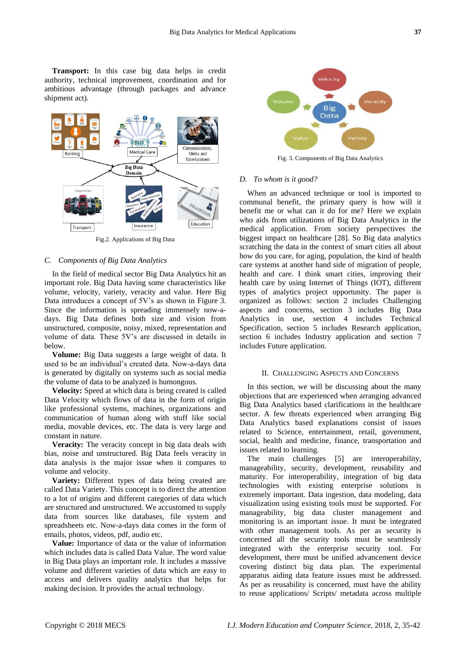**Transport:** In this case big data helps in credit authority, technical improvement, coordination and for ambitious advantage (through packages and advance shipment act).



Fig.2. Applications of Big Data

### *C. Components of Big Data Analytics*

In the field of medical sector Big Data Analytics hit an important role. Big Data having some characteristics like volume, velocity, variety, veracity and value. Here Big Data introduces a concept of 5V's as shown in Figure 3. Since the information is spreading immensely now-adays. Big Data defines both size and vision from unstructured, composite, noisy, mixed, representation and volume of data. These 5V's are discussed in details in below.

**Volume:** Big Data suggests a large weight of data. It used to be an individual's created data. Now-a-days data is generated by digitally on systems such as social media the volume of data to be analyzed is humongous.

**Velocity:** Speed at which data is being created is called Data Velocity which flows of data in the form of origin like professional systems, machines, organizations and communication of human along with stuff like social media, movable devices, etc. The data is very large and constant in nature.

**Veracity:** The veracity concept in big data deals with bias, noise and unstructured. Big Data feels veracity in data analysis is the major issue when it compares to volume and velocity.

**Variety:** Different types of data being created are called Data Variety. This concept is to direct the attention to a lot of origins and different categories of data which are structured and unstructured. We accustomed to supply data from sources like databases, file system and spreadsheets etc. Now-a-days data comes in the form of emails, photos, videos, pdf, audio etc.

**Value:** Importance of data or the value of information which includes data is called Data Value. The word value in Big Data plays an important role. It includes a massive volume and different varieties of data which are easy to access and delivers quality analytics that helps for making decision. It provides the actual technology.



Fig. 3. Components of Big Data Analytics

## *D. To whom is it good?*

When an advanced technique or tool is imported to communal benefit, the primary query is how will it benefit me or what can it do for me? Here we explain who aids from utilizations of Big Data Analytics in the medical application. From society perspectives the biggest impact on healthcare [28]. So Big data analytics scratching the data in the context of smart cities all about how do you care, for aging, population, the kind of health care systems at another hand side of migration of people, health and care. I think smart cities, improving their health care by using Internet of Things (IOT), different types of analytics project opportunity. The paper is organized as follows: section 2 includes Challenging aspects and concerns, section 3 includes Big Data Analytics in use, section 4 includes Technical Specification, section 5 includes Research application, section 6 includes Industry application and section 7 includes Future application.

#### II. CHALLENGING ASPECTS AND CONCERNS

In this section, we will be discussing about the many objections that are experienced when arranging advanced Big Data Analytics based clarifications in the healthcare sector. A few threats experienced when arranging Big Data Analytics based explanations consist of issues related to Science, entertainment, retail, government, social, health and medicine, finance, transportation and issues related to learning.

The main challenges [5] are interoperability, manageability, security, development, reusability and maturity. For interoperability, integration of big data technologies with existing enterprise solutions is extremely important. Data ingestion, data modeling, data visualization using existing tools must be supported. For manageability, big data cluster management and monitoring is an important issue. It must be integrated with other management tools. As per as security is concerned all the security tools must be seamlessly integrated with the enterprise security tool. For development, there must be unified advancement device covering distinct big data plan. The experimental apparatus aiding data feature issues must be addressed. As per as reusability is concerned, must have the ability to reuse applications/ Scripts/ metadata across multiple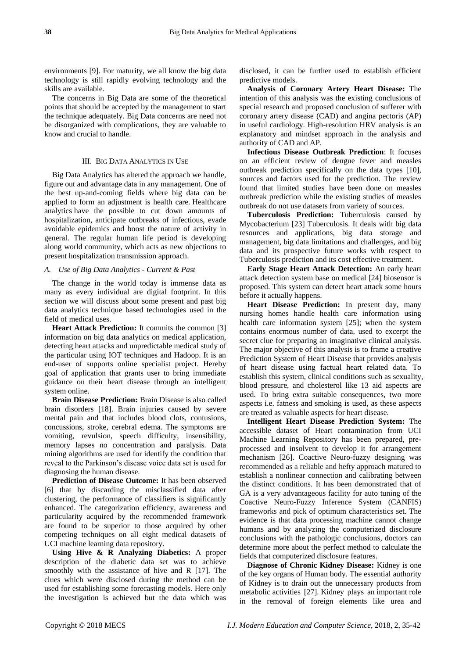environments [9]. For maturity, we all know the big data technology is still rapidly evolving technology and the skills are available.

The concerns in Big Data are some of the theoretical points that should be accepted by the management to start the technique adequately. Big Data concerns are need not be disorganized with complications, they are valuable to know and crucial to handle.

#### III. BIG DATA ANALYTICS IN USE

Big Data Analytics has altered the approach we handle, figure out and advantage data in any management. One of the best up-and-coming fields where big data can be applied to form an adjustment is health care. [Healthcare](https://www.datapine.com/healthcare-analytics)  [analytics](https://www.datapine.com/healthcare-analytics) have the possible to cut down amounts of hospitalization, anticipate outbreaks of infectious, evade avoidable epidemics and boost the nature of activity in general. The regular human life period is developing along world community, which acts as new objections to present hospitalization transmission approach.

#### *A. Use of Big Data Analytics - Current & Past*

The change in the world today is immense data as many as every individual are digital footprint. In this section we will discuss about some present and past big data analytics technique based technologies used in the field of medical uses.

**Heart Attack Prediction:** It commits the common [3] information on big data analytics on medical application, detecting heart attacks and unpredictable medical study of the particular using IOT techniques and Hadoop. It is an end-user of supports online specialist project. Hereby goal of application that grants user to bring immediate guidance on their heart disease through an intelligent system online.

**Brain Disease Prediction:** Brain Disease is also called brain disorders [18]. Brain injuries caused by severe mental pain and that includes blood clots, contusions, concussions, stroke, cerebral edema. The symptoms are vomiting, revulsion, speech difficulty, insensibility, memory lapses no concentration and paralysis. Data mining algorithms are used for identify the condition that reveal to the Parkinson's disease voice data set is used for diagnosing the human disease.

**Prediction of Disease Outcome:** It has been observed [6] that by discarding the misclassified data after clustering, the performance of classifiers is significantly enhanced. The categorization efficiency, awareness and particularity acquired by the recommended framework are found to be superior to those acquired by other competing techniques on all eight medical datasets of UCI machine learning data repository.

**Using Hive & R Analyzing Diabetics:** A proper description of the diabetic data set was to achieve smoothly with the assistance of hive and R [17]. The clues which were disclosed during the method can be used for establishing some forecasting models. Here only the investigation is achieved but the data which was

disclosed, it can be further used to establish efficient predictive models.

**Analysis of Coronary Artery Heart Disease:** The intention of this analysis was the existing conclusions of special research and proposed conclusion of sufferer with coronary artery disease (CAD) and angina pectoris (AP) in useful cardiology. High-resolution HRV analysis is an explanatory and mindset approach in the analysis and authority of CAD and AP.

**Infectious Disease Outbreak Prediction**: It focuses on an efficient review of dengue fever and measles outbreak prediction specifically on the data types [10], sources and factors used for the prediction. The review found that limited studies have been done on measles outbreak prediction while the existing studies of measles outbreak do not use datasets from variety of sources.

**Tuberculosis Prediction:** Tuberculosis caused by Mycobacterium [23] Tuberculosis. It deals with big data resources and applications, big data storage and management, big data limitations and challenges, and big data and its prospective future works with respect to Tuberculosis prediction and its cost effective treatment.

**Early Stage Heart Attack Detection:** An early heart attack detection system base on medical [24] biosensor is proposed. This system can detect heart attack some hours before it actually happens.

**Heart Disease Prediction:** In present day, many nursing homes handle health care information using health care information system [25]; when the system contains enormous number of data, used to excerpt the secret clue for preparing an imaginative clinical analysis. The major objective of this analysis is to frame a creative Prediction System of Heart Disease that provides analysis of heart disease using factual heart related data. To establish this system, clinical conditions such as sexuality, blood pressure, and cholesterol like 13 aid aspects are used. To bring extra suitable consequences, two more aspects i.e. fatness and smoking is used, as these aspects are treated as valuable aspects for heart disease.

**Intelligent Heart Disease Prediction System:** The accessible dataset of Heart contamination from UCI Machine Learning Repository has been prepared, preprocessed and insolvent to develop it for arrangement mechanism [26]. Coactive Neuro-fuzzy designing was recommended as a reliable and hefty approach matured to establish a nonlinear connection and calibrating between the distinct conditions. It has been demonstrated that of GA is a very advantageous facility for auto tuning of the Coactive Neuro-Fuzzy Inference System (CANFIS) frameworks and pick of optimum characteristics set. The evidence is that data processing machine cannot change humans and by analyzing the computerized disclosure conclusions with the pathologic conclusions, doctors can determine more about the perfect method to calculate the fields that computerized disclosure features.

**Diagnose of Chronic Kidney Disease:** Kidney is one of the key organs of Human body. The essential authority of Kidney is to drain out the unnecessary products from metabolic activities [27]. Kidney plays an important role in the removal of foreign elements like urea and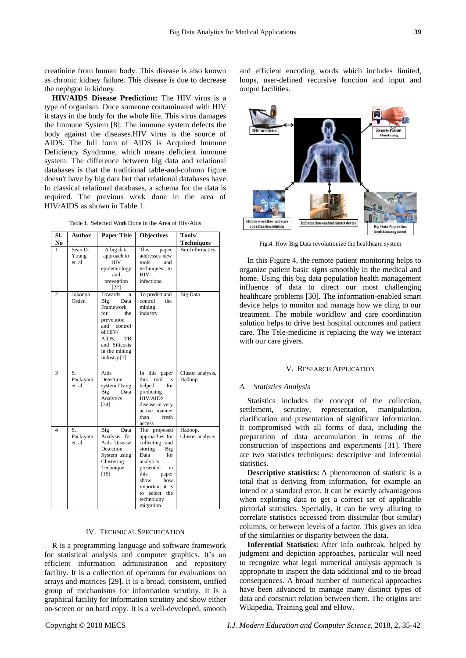creatinine from human body. This disease is also known as chronic kidney failure. This disease is due to decrease the nephgon in kidney.

**HIV/AIDS Disease Prediction:** The HIV virus is a type of organism. Once someone contaminated with HIV it stays in the body for the whole life. This virus damages the Immune System [8]. The immune system defects the body against the diseases.HIV virus is the source of AIDS. The full form of AIDS is Acquired Immune Deficiency Syndrome, which means deficient immune system. The difference between big data and relational databases is that the traditional table-and-column figure doesn't have by big data but that relational databases have. In classical relational databases, a schema for the data is required. The previous work done in the area of HIV/AIDS as shown in Table 1.

Table 1. Selected Work Done in the Area of Hiv/Aids

| SI.<br>N <sub>0</sub> | <b>Author</b>              | <b>Paper Title</b>                                                                                                                                              | <b>Objectives</b>                                                                                                                                                                                                    | Tools/<br><b>Techniques</b> |
|-----------------------|----------------------------|-----------------------------------------------------------------------------------------------------------------------------------------------------------------|----------------------------------------------------------------------------------------------------------------------------------------------------------------------------------------------------------------------|-----------------------------|
| 1                     | Sean D.<br>Young<br>et. al | A big data<br>approach to<br><b>HIV</b><br>epidemiology<br>and<br>prevention<br>$[22]$                                                                          | This<br>paper<br>addresses new<br>tools<br>and<br>techniques to<br><b>HIV</b><br>infections.                                                                                                                         | <b>Bio-Informatics</b>      |
| $\overline{c}$        | Jokonya<br>Osden           | Towards<br>a<br>Big<br>Data<br>Framework<br>for<br>the<br>prevention<br>and control<br>of HIV/<br>AIDS.<br>TВ<br>and Silicosis<br>in the mining<br>industry [7] | To predict and<br>control<br>the<br>mining<br>industry                                                                                                                                                               | <b>Big Data</b>             |
| 3                     | S.<br>Packiyam<br>et. al   | Aids<br>Detection<br>system Using<br>Big<br>Data<br>Analytics<br>$[34]$                                                                                         | In this paper<br>this.<br>tool<br>is<br>helped<br>for<br>predicting<br><b>HIV/AIDS</b><br>disease in very<br>active manner<br>than<br>fresh<br>access                                                                | Cluster analysis,<br>Hadoop |
| $\overline{4}$        | S.<br>Packiyam<br>et. al   | Big<br>Data<br>Analysis for<br>Aids Disease<br>Detection<br>System using<br>Clustering<br>Technique<br>$[15]$                                                   | The proposed<br>approaches for<br>collecting<br>and<br>storing<br>Big<br>Data<br>for<br>analytics<br>presented<br>in<br>this<br>paper<br>show<br>how<br>important it is<br>to select the<br>technology<br>migration. | Hadoop,<br>Cluster analysis |

#### IV. TECHNICAL SPECIFICATION

R is a programming language and software framework for statistical analysis and computer graphics. It's an efficient information administration and repository facility. It is a collection of operators for evaluations on arrays and matrices [29]. It is a broad, consistent, unified group of mechanisms for information scrutiny. It is a graphical facility for information scrutiny and show either on-screen or on hard copy. It is a well-developed, smooth

and efficient encoding words which includes limited, loops, user-defined recursive function and input and output facilities.



Fig.4. How Big Data revolutionize the healthcare system

In this Figure 4, the remote patient monitoring helps to organize patient basic signs smoothly in the medical and home. Using this big data population health management influence of data to direct our most challenging healthcare problems [30]. The information-enabled smart device helps to monitor and manage how we cling to our treatment. The mobile workflow and care coordination solution helps to drive best hospital outcomes and patient care. The Tele-medicine is replacing the way we interact with our care givers.

#### V. RESEARCH APPLICATION

#### *A. Statistics Analysis*

Statistics includes the concept of the collection, settlement, scrutiny, representation, manipulation, clarification and presentation of significant information. It compromised with all forms of data, including the preparation of data accumulation in terms of the construction of inspections and experiments [31]. There are two statistics techniques: descriptive and inferential statistics.

**Descriptive statistics:** A phenomenon of statistic is a total that is deriving from information, for example an intend or a standard error. It can be exactly advantageous when exploring data to get a correct set of applicable pictorial statistics. Specially, it can be very alluring to correlate statistics accessed from dissimilar (but similar) columns, or between levels of a factor. This gives an idea of the similarities or disparity between the data.

**Inferential Statistics:** After info outbreak, helped by judgment and depiction approaches, particular will need to recognize what legal numerical analysis approach is appropriate to inspect the data additional and to tie broad consequences. A broad number of numerical approaches have been advanced to manage many distinct types of data and construct relation between them. The origins are: Wikipedia, Training goal and eHow.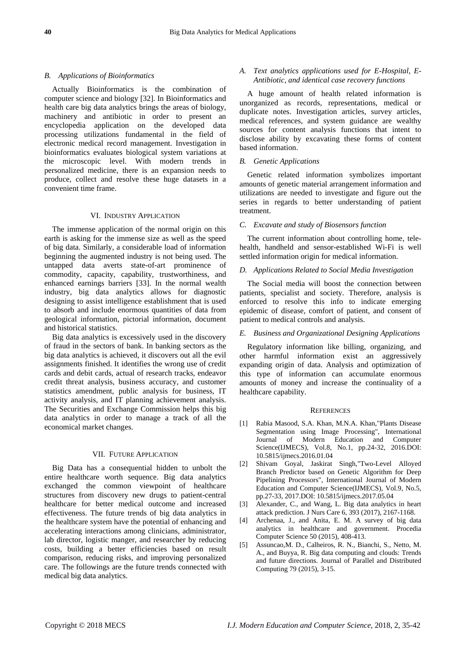## *B. Applications of Bioinformatics*

Actually Bioinformatics is the combination of computer science and biology [32]. In Bioinformatics and health care big data analytics brings the areas of biology, machinery and antibiotic in order to present an encyclopedia application on the developed data processing utilizations fundamental in the field of electronic medical record management. Investigation in bioinformatics evaluates biological system variations at the microscopic level. With modern trends in personalized medicine, there is an expansion needs to produce, collect and resolve these huge datasets in a convenient time frame.

#### VI. INDUSTRY APPLICATION

The immense application of the normal origin on this earth is asking for the immense size as well as the speed of big data. Similarly, a considerable load of information beginning the augmented industry is not being used. The untapped data averts state-of-art prominence of commodity, capacity, capability, trustworthiness, and enhanced earnings barriers [33]. In the normal wealth industry, big data analytics allows for diagnostic designing to assist intelligence establishment that is used to absorb and include enormous quantities of data from geological information, pictorial information, document and historical statistics.

Big data analytics is excessively used in the discovery of fraud in the sectors of bank. In banking sectors as the big data analytics is achieved, it discovers out all the evil assignments finished. It identifies the wrong use of credit cards and debit cards, actual of research tracks, endeavor credit threat analysis, business accuracy, and customer statistics amendment, public analysis for business, IT activity analysis, and IT planning achievement analysis. The Securities and Exchange Commission helps this big data analytics in order to manage a track of all the economical market changes.

#### VII. FUTURE APPLICATION

Big Data has a consequential hidden to unbolt the entire healthcare worth sequence. Big data analytics exchanged the common viewpoint of healthcare structures from discovery new drugs to patient-central healthcare for better medical outcome and increased effectiveness. The future trends of big data analytics in the healthcare system have the potential of enhancing and accelerating interactions among clinicians, administrator, lab director, logistic manger, and researcher by reducing costs, building a better efficiencies based on result comparison, reducing risks, and improving personalized care. The followings are the future trends connected with medical big data analytics.

## *A. Text analytics applications used for E-Hospital, E-Antibiotic, and identical case recovery functions*

A huge amount of health related information is unorganized as records, representations, medical or duplicate notes. Investigation articles, survey articles, medical references, and system guidance are wealthy sources for content analysis functions that intent to disclose ability by excavating these forms of content based information.

## *B. Genetic Applications*

Genetic related information symbolizes important amounts of genetic material arrangement information and utilizations are needed to investigate and figure out the series in regards to better understanding of patient treatment.

## *C. Excavate and study of Biosensors function*

The current information about controlling home, telehealth, handheld and sensor-established Wi-Fi is well settled information origin for medical information.

## *D. Applications Related to Social Media Investigation*

The Social media will boost the connection between patients, specialist and society. Therefore, analysis is enforced to resolve this info to indicate emerging epidemic of disease, comfort of patient, and consent of patient to medical controls and analysis.

## *E. Business and Organizational Designing Applications*

Regulatory information like billing, organizing, and other harmful information exist an aggressively expanding origin of data. Analysis and optimization of this type of information can accumulate enormous amounts of money and increase the continuality of a healthcare capability.

## **REFERENCES**

- [1] Rabia Masood, S.A. Khan, M.N.A. Khan,"Plants Disease Segmentation using Image Processing", International Journal of Modern Education and Computer Science(IJMECS), Vol.8, No.1, pp.24-32, 2016.DOI: 10.5815/ijmecs.2016.01.04
- [2] Shivam Goyal, Jaskirat Singh,"Two-Level Alloyed Branch Predictor based on Genetic Algorithm for Deep Pipelining Processors", International Journal of Modern Education and Computer Science(IJMECS), Vol.9, No.5, pp.27-33, 2017.DOI: 10.5815/ijmecs.2017.05.04
- [3] Alexander, C., and Wang, L. Big data analytics in heart attack prediction. J Nurs Care 6, 393 (2017), 2167-1168.
- [4] Archenaa, J., and Anita, E. M. A survey of big data analytics in healthcare and government. Procedia Computer Science 50 (2015), 408-413.
- [5] Assuncao,M. D., Calheiros, R. N., Bianchi, S., Netto, M. A., and Buyya, R. Big data computing and clouds: Trends and future directions. Journal of Parallel and Distributed Computing 79 (2015), 3-15.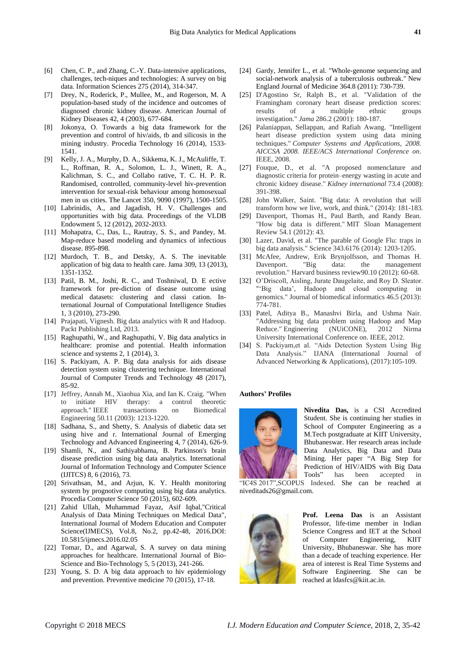- [6] Chen, C. P., and Zhang, C.-Y. Data-intensive applications, challenges, tech-niques and technologies: A survey on big data. Information Sciences 275 (2014), 314-347.
- [7] Drey, N., Roderick, P., Mullee, M., and Rogerson, M. A population-based study of the incidence and outcomes of diagnosed chronic kidney disease. American Journal of Kidney Diseases 42, 4 (2003), 677-684.
- [8] Jokonya, O. Towards a big data framework for the prevention and control of hiv/aids, tb and silicosis in the mining industry. Procedia Technology 16 (2014), 1533- 1541.
- [9] Kelly, J. A., Murphy, D. A., Sikkema, K. J., McAuliffe, T. L., Roffman, R. A., Solomon, L. J., Winett, R. A., Kalichman, S. C., and Collabo rative, T. C. H. P. R. Randomised, controlled, community-level hiv-prevention intervention for sexual-risk behaviour among homosexual men in us cities. The Lancet 350, 9090 (1997), 1500-1505.
- [10] Labrinidis, A., and Jagadish, H. V. Challenges and opportunities with big data. Proceedings of the VLDB Endowment 5, 12 (2012), 2032-2033.
- [11] Mohapatra, C., Das, L., Rautray, S. S., and Pandey, M. Map-reduce based modeling and dynamics of infectious disease. 895-898.
- [12] Murdoch, T. B., and Detsky, A. S. The inevitable application of big data to health care. Jama 309, 13 (2013), 1351-1352.
- [13] Patil, B. M., Joshi, R. C., and Toshniwal, D. E ective framework for pre-diction of disease outcome using medical datasets: clustering and classi cation. International Journal of Computational Intelligence Studies 1, 3 (2010), 273-290.
- [14] Prajapati, Vignesh. Big data analytics with R and Hadoop. Packt Publishing Ltd, 2013.
- [15] Raghupathi, W., and Raghupathi, V. Big data analytics in healthcare: promise and potential. Health information science and systems 2, 1 (2014), 3.
- [16] S. Packiyam, A. P. Big data analysis for aids disease detection system using clustering technique. International Journal of Computer Trends and Technology 48 (2017), 85-92.
- [17] Jeffrey, Annah M., Xiaohua Xia, and Ian K. Craig. "When to initiate HIV therapy: a control theoretic approach." IEEE transactions on Biomedical Engineering 50.11 (2003): 1213-1220.
- [18] Sadhana, S., and Shetty, S. Analysis of diabetic data set using hive and r. International Journal of Emerging Technology and Advanced Engineering 4, 7 (2014), 626-9.
- [19] Shamli, N., and Sathiyabhama, B. Parkinson's brain disease prediction using big data analytics. International Journal of Information Technology and Computer Science (IJITCS) 8, 6 (2016), 73.
- [20] Srivathsan, M., and Arjun, K. Y. Health monitoring system by prognotive computing using big data analytics. Procedia Computer Science 50 (2015), 602-609.
- [21] Zahid Ullah, Muhammad Fayaz, Asif Iqbal,"Critical Analysis of Data Mining Techniques on Medical Data", International Journal of Modern Education and Computer Science(IJMECS), Vol.8, No.2, pp.42-48, 2016.DOI: 10.5815/ijmecs.2016.02.05
- [22] Tomar, D., and Agarwal, S. A survey on data mining approaches for healthcare. International Journal of Bio-Science and Bio-Technology 5, 5 (2013), 241-266.
- [23] Young, S. D. A big data approach to hiv epidemiology and prevention. Preventive medicine 70 (2015), 17-18.
- [24] Gardy, Jennifer L., et al. "Whole-genome sequencing and social-network analysis of a tuberculosis outbreak." New England Journal of Medicine 364.8 (2011): 730-739.
- [25] D'Agostino Sr, Ralph B., et al. "Validation of the Framingham coronary heart disease prediction scores: results of a multiple ethnic groups investigation." *Jama* 286.2 (2001): 180-187.
- [26] Palaniappan, Sellappan, and Rafiah Awang. "Intelligent heart disease prediction system using data mining techniques." *Computer Systems and Applications, 2008. AICCSA 2008. IEEE/ACS International Conference on*. IEEE, 2008.
- [27] Fouque, D., et al. "A proposed nomenclature and diagnostic criteria for protein–energy wasting in acute and chronic kidney disease." *Kidney international* 73.4 (2008): 391-398.
- [28] John Walker, Saint. "Big data: A revolution that will transform how we live, work, and think." (2014): 181-183.
- [29] Davenport, Thomas H., Paul Barth, and Randy Bean. "How big data is different." MIT Sloan Management Review 54.1 (2012): 43.
- [30] Lazer, David, et al. "The parable of Google Flu: traps in big data analysis." Science 343.6176 (2014): 1203-1205.
- [31] McAfee, Andrew, Erik Brynjolfsson, and Thomas H. Davenport. "Big data: the management revolution." Harvard business review90.10 (2012): 60-68.
- [32] O'Driscoll, Aisling, Jurate Daugelaite, and Roy D. Sleator. "'Big data', Hadoop and cloud computing in genomics." Journal of biomedical informatics 46.5 (2013): 774-781.
- [33] Patel, Aditya B., Manashvi Birla, and Ushma Nair. "Addressing big data problem using Hadoop and Map Reduce." Engineering (NUiCONE), 2012 Nirma University International Conference on. IEEE, 2012.
- [34] S. Packiyam,et al. "Aids Detection System Using Big Data Analysis." IJANA (International Journal of Advanced Networking & Applications), (2017):105-109.

#### **Authors' Profiles**



**Nivedita Das,** is a CSI Accredited Student. She is continuing her studies in School of Computer Engineering as a M.Tech postgraduate at KIIT University, Bhubaneswar. Her research areas include Data Analytics, Big Data and Data Mining. Her paper "A Big Step for Prediction of HIV/AIDS with Big Data Tools" has been accepted in

"IC4S 2017",SCOPUS Indexed. She can be reached at [niveditads26@gmail.com.](mailto:niveditads26@gmail.com)



**Prof. Leena Das** is an Assistant Professor, life-time member in Indian Science Congress and IET at the School of Computer Engineering, KIIT University, Bhubaneswar. She has more than a decade of teaching experience. Her area of interest is Real Time Systems and Software Engineering. She can be reached at [ldasfcs@kiit.ac.in.](mailto:ldasfcs@kiit.ac.in)